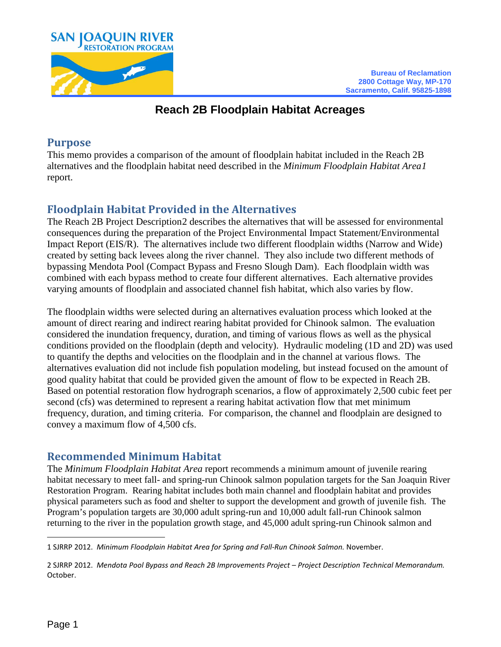

## **Reach 2B Floodplain Habitat Acreages**

#### **Purpose**

This memo provides a comparison of the amount of floodplain habitat included in the Reach 2B alternatives and the floodplain habitat need described in the *Minimum Floodplain Habitat Area[1](#page-0-0)* report.

# **Floodplain Habitat Provided in the Alternatives**

The Reach 2B Project Description[2](#page-0-1) describes the alternatives that will be assessed for environmental consequences during the preparation of the Project Environmental Impact Statement/Environmental Impact Report (EIS/R). The alternatives include two different floodplain widths (Narrow and Wide) created by setting back levees along the river channel. They also include two different methods of bypassing Mendota Pool (Compact Bypass and Fresno Slough Dam). Each floodplain width was combined with each bypass method to create four different alternatives. Each alternative provides varying amounts of floodplain and associated channel fish habitat, which also varies by flow.

The floodplain widths were selected during an alternatives evaluation process which looked at the amount of direct rearing and indirect rearing habitat provided for Chinook salmon. The evaluation considered the inundation frequency, duration, and timing of various flows as well as the physical conditions provided on the floodplain (depth and velocity). Hydraulic modeling (1D and 2D) was used to quantify the depths and velocities on the floodplain and in the channel at various flows. The alternatives evaluation did not include fish population modeling, but instead focused on the amount of good quality habitat that could be provided given the amount of flow to be expected in Reach 2B. Based on potential restoration flow hydrograph scenarios, a flow of approximately 2,500 cubic feet per second (cfs) was determined to represent a rearing habitat activation flow that met minimum frequency, duration, and timing criteria. For comparison, the channel and floodplain are designed to convey a maximum flow of 4,500 cfs.

### **Recommended Minimum Habitat**

The *Minimum Floodplain Habitat Area* report recommends a minimum amount of juvenile rearing habitat necessary to meet fall- and spring-run Chinook salmon population targets for the San Joaquin River Restoration Program. Rearing habitat includes both main channel and floodplain habitat and provides physical parameters such as food and shelter to support the development and growth of juvenile fish. The Program's population targets are 30,000 adult spring-run and 10,000 adult fall-run Chinook salmon returning to the river in the population growth stage, and 45,000 adult spring-run Chinook salmon and

<span id="page-0-0"></span> $\overline{a}$ 1 SJRRP 2012. *Minimum Floodplain Habitat Area for Spring and Fall-Run Chinook Salmon.* November.

<span id="page-0-1"></span><sup>2</sup> SJRRP 2012. *Mendota Pool Bypass and Reach 2B Improvements Project – Project Description Technical Memorandum.* October.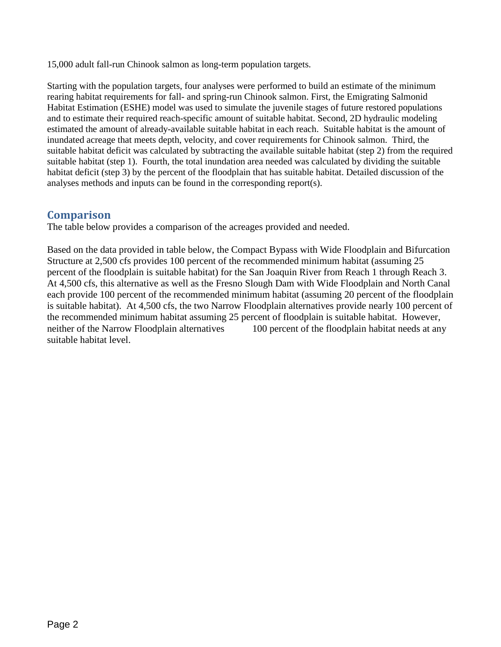15,000 adult fall-run Chinook salmon as long-term population targets.

Starting with the population targets, four analyses were performed to build an estimate of the minimum rearing habitat requirements for fall- and spring-run Chinook salmon. First, the Emigrating Salmonid Habitat Estimation (ESHE) model was used to simulate the juvenile stages of future restored populations and to estimate their required reach-specific amount of suitable habitat. Second, 2D hydraulic modeling estimated the amount of already-available suitable habitat in each reach. Suitable habitat is the amount of inundated acreage that meets depth, velocity, and cover requirements for Chinook salmon. Third, the suitable habitat deficit was calculated by subtracting the available suitable habitat (step 2) from the required suitable habitat (step 1). Fourth, the total inundation area needed was calculated by dividing the suitable habitat deficit (step 3) by the percent of the floodplain that has suitable habitat. Detailed discussion of the analyses methods and inputs can be found in the corresponding report(s).

#### **Comparison**

The table below provides a comparison of the acreages provided and needed.

Based on the data provided in table below, the Compact Bypass with Wide Floodplain and Bifurcation Structure at 2,500 cfs provides 100 percent of the recommended minimum habitat (assuming 25 percent of the floodplain is suitable habitat) for the San Joaquin River from Reach 1 through Reach 3. At 4,500 cfs, this alternative as well as the Fresno Slough Dam with Wide Floodplain and North Canal each provide 100 percent of the recommended minimum habitat (assuming 20 percent of the floodplain is suitable habitat). At 4,500 cfs, the two Narrow Floodplain alternatives provide nearly 100 percent of the recommended minimum habitat assuming 25 percent of floodplain is suitable habitat. However, neither of the Narrow Floodplain alternatives 100 percent of the floodplain habitat needs at any suitable habitat level.